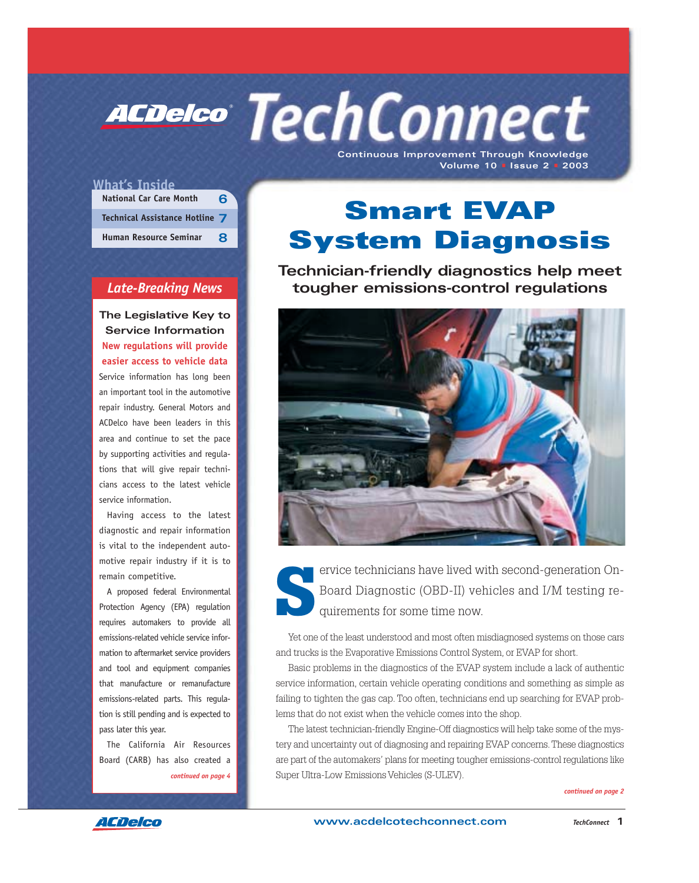**Continuous Improvement Through Knowledge Volume 10** • **Issue 2** • **2003 ACDelco TechConnect** 

## **What's Inside**

| <b>National Car Care Month</b> | ิธ |
|--------------------------------|----|
| Technical Assistance Hotline 7 |    |
| <b>Human Resource Seminar</b>  | Я  |

## *Late-Breaking News*

**The Legislative Key to Service Information New regulations will provide easier access to vehicle data** Service information has long been an important tool in the automotive repair industry. General Motors and ACDelco have been leaders in this area and continue to set the pace by supporting activities and regulations that will give repair technicians access to the latest vehicle service information.

Having access to the latest diagnostic and repair information is vital to the independent automotive repair industry if it is to remain competitive.

A proposed federal Environmental Protection Agency (EPA) regulation requires automakers to provide all emissions-related vehicle service information to aftermarket service providers and tool and equipment companies that manufacture or remanufacture emissions-related parts. This regulation is still pending and is expected to pass later this year.

The California Air Resources Board (CARB) has also created a *continued on page 4*

# **Smart EVAP System Diagnosis**

**Technician-friendly diagnostics help meet tougher emissions-control regulations**



ervice technicians have lived with second-generation On-<br>Board Diagnostic (OBD-II) vehicles and I/M testing requirements for some time now. Board Diagnostic (OBD-II) vehicles and I/M testing requirements for some time now.

Yet one of the least understood and most often misdiagnosed systems on those cars and trucks is the Evaporative Emissions Control System, or EVAP for short.

Basic problems in the diagnostics of the EVAP system include a lack of authentic service information, certain vehicle operating conditions and something as simple as failing to tighten the gas cap. Too often, technicians end up searching for EVAP problems that do not exist when the vehicle comes into the shop.

The latest technician-friendly Engine-Off diagnostics will help take some of the mystery and uncertainty out of diagnosing and repairing EVAP concerns. These diagnostics are part of the automakers' plans for meeting tougher emissions-control regulations like Super Ultra-Low Emissions Vehicles (S-ULEV).

*continued on page 2*

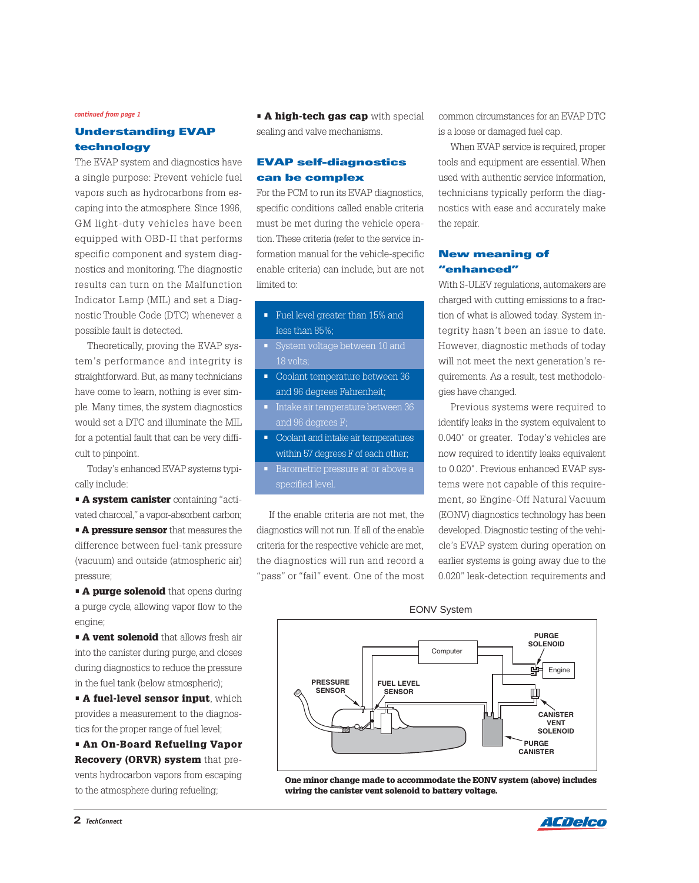#### *continued from page 1*

# **Understanding EVAP technology**

The EVAP system and diagnostics have a single purpose: Prevent vehicle fuel vapors such as hydrocarbons from escaping into the atmosphere. Since 1996, GM light-duty vehicles have been equipped with OBD-II that performs specific component and system diagnostics and monitoring. The diagnostic results can turn on the Malfunction Indicator Lamp (MIL) and set a Diagnostic Trouble Code (DTC) whenever a possible fault is detected.

Theoretically, proving the EVAP system's performance and integrity is straightforward. But, as many technicians have come to learn, nothing is ever simple. Many times, the system diagnostics would set a DTC and illuminate the MIL for a potential fault that can be very difficult to pinpoint.

Today's enhanced EVAP systems typically include:

- **A system canister** containing "activated charcoal," a vapor-absorbent carbon;
- **A pressure sensor** that measures the difference between fuel-tank pressure (vacuum) and outside (atmospheric air) pressure;

**• A purge solenoid** that opens during a purge cycle, allowing vapor flow to the engine;

**• A vent solenoid** that allows fresh air into the canister during purge, and closes during diagnostics to reduce the pressure in the fuel tank (below atmospheric);

• **A fuel-level sensor input**, which provides a measurement to the diagnostics for the proper range of fuel level;

• **An On-Board Refueling Vapor Recovery (ORVR) system** that prevents hydrocarbon vapors from escaping to the atmosphere during refueling;

• **A high-tech gas cap** with special sealing and valve mechanisms.

### **EVAP self-diagnostics can be complex**

For the PCM to run its EVAP diagnostics, specific conditions called enable criteria must be met during the vehicle operation. These criteria (refer to the service information manual for the vehicle-specific enable criteria) can include, but are not limited to:

- Fuel level greater than 15% and less than 85%;
- System voltage between 10 and
- Coolant temperature between 36 and 96 degrees Fahrenheit;
- Intake air temperature between 36 and 96 degrees F;
- Coolant and intake air temperatures within 57 degrees F of each other;
- Barometric pressure at or above a specified level.

If the enable criteria are not met, the diagnostics will not run. If all of the enable criteria for the respective vehicle are met, the diagnostics will run and record a "pass" or "fail" event. One of the most

common circumstances for an EVAP DTC is a loose or damaged fuel cap.

When EVAP service is required, proper tools and equipment are essential. When used with authentic service information, technicians typically perform the diagnostics with ease and accurately make the repair.

### **New meaning of "enhanced"**

With S-ULEV regulations, automakers are charged with cutting emissions to a fraction of what is allowed today. System integrity hasn't been an issue to date. However, diagnostic methods of today will not meet the next generation's requirements. As a result, test methodologies have changed.

Previous systems were required to identify leaks in the system equivalent to 0.040" or greater. Today's vehicles are now required to identify leaks equivalent to 0.020". Previous enhanced EVAP systems were not capable of this requirement, so Engine-Off Natural Vacuum (EONV) diagnostics technology has been developed. Diagnostic testing of the vehicle's EVAP system during operation on earlier systems is going away due to the 0.020" leak-detection requirements and

EONV System



**One minor change made to accommodate the EONV system (above) includes wiring the canister vent solenoid to battery voltage.**

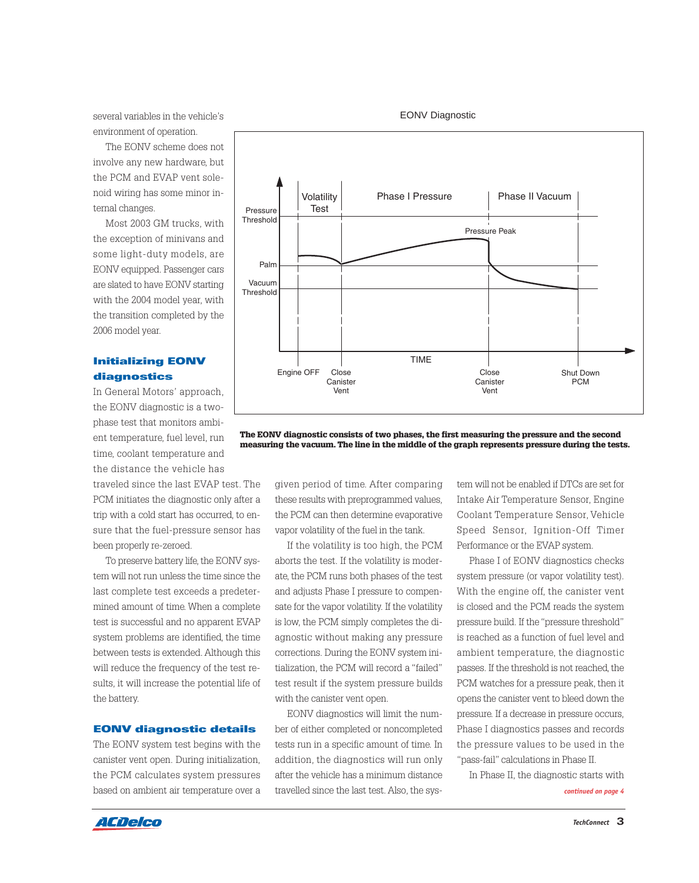several variables in the vehicle's environment of operation.

The EONV scheme does not involve any new hardware, but the PCM and EVAP vent solenoid wiring has some minor internal changes.

Most 2003 GM trucks, with the exception of minivans and some light-duty models, are EONV equipped. Passenger cars are slated to have EONV starting with the 2004 model year, with the transition completed by the 2006 model year.

### **Initializing EONV diagnostics**

In General Motors' approach, the EONV diagnostic is a twophase test that monitors ambient temperature, fuel level, run time, coolant temperature and the distance the vehicle has

traveled since the last EVAP test. The PCM initiates the diagnostic only after a trip with a cold start has occurred, to ensure that the fuel-pressure sensor has been properly re-zeroed.

To preserve battery life, the EONV system will not run unless the time since the last complete test exceeds a predetermined amount of time. When a complete test is successful and no apparent EVAP system problems are identified, the time between tests is extended. Although this will reduce the frequency of the test results, it will increase the potential life of the battery.

#### **EONV diagnostic details**

The EONV system test begins with the canister vent open. During initialization, the PCM calculates system pressures based on ambient air temperature over a

Volatility Phase I Pressure | Phase II Vacuum Pressure **Test** Threshold Palm Vacuum **Threshold** Engine OFF Close **Canister** Vent Close **Canister** Vent Shut Down PCM TIME Pressure Peak

EONV Diagnostic

**The EONV diagnostic consists of two phases, the first measuring the pressure and the second measuring the vacuum. The line in the middle of the graph represents pressure during the tests.**

given period of time. After comparing these results with preprogrammed values, the PCM can then determine evaporative vapor volatility of the fuel in the tank.

If the volatility is too high, the PCM aborts the test. If the volatility is moderate, the PCM runs both phases of the test and adjusts Phase I pressure to compensate for the vapor volatility. If the volatility is low, the PCM simply completes the diagnostic without making any pressure corrections. During the EONV system initialization, the PCM will record a "failed" test result if the system pressure builds with the canister vent open.

EONV diagnostics will limit the number of either completed or noncompleted tests run in a specific amount of time. In addition, the diagnostics will run only after the vehicle has a minimum distance travelled since the last test. Also, the sys-

tem will not be enabled if DTCs are set for Intake Air Temperature Sensor, Engine Coolant Temperature Sensor, Vehicle Speed Sensor, Ignition-Off Timer Performance or the EVAP system.

Phase I of EONV diagnostics checks system pressure (or vapor volatility test). With the engine off, the canister vent is closed and the PCM reads the system pressure build. If the "pressure threshold" is reached as a function of fuel level and ambient temperature, the diagnostic passes. If the threshold is not reached, the PCM watches for a pressure peak, then it opens the canister vent to bleed down the pressure. If a decrease in pressure occurs, Phase I diagnostics passes and records the pressure values to be used in the "pass-fail" calculations in Phase II.

In Phase II, the diagnostic starts with

*continued on page 4*

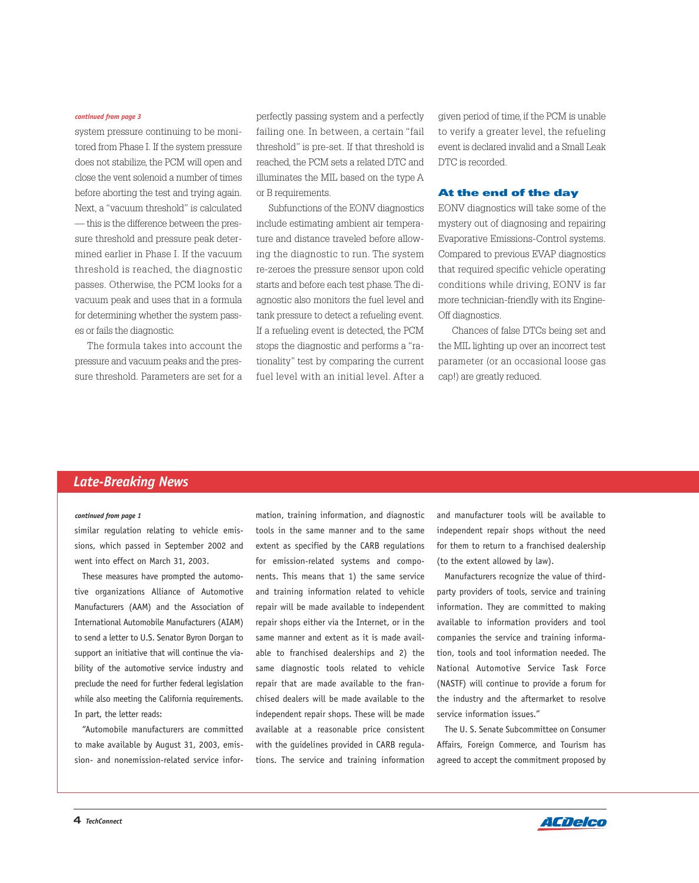#### *continued from page 3*

system pressure continuing to be monitored from Phase I. If the system pressure does not stabilize, the PCM will open and close the vent solenoid a number of times before aborting the test and trying again. Next, a "vacuum threshold" is calculated — this is the difference between the pressure threshold and pressure peak determined earlier in Phase I. If the vacuum threshold is reached, the diagnostic passes. Otherwise, the PCM looks for a vacuum peak and uses that in a formula for determining whether the system passes or fails the diagnostic.

The formula takes into account the pressure and vacuum peaks and the pressure threshold. Parameters are set for a

perfectly passing system and a perfectly failing one. In between, a certain "fail threshold" is pre-set. If that threshold is reached, the PCM sets a related DTC and illuminates the MIL based on the type A or B requirements.

Subfunctions of the EONV diagnostics include estimating ambient air temperature and distance traveled before allowing the diagnostic to run. The system re-zeroes the pressure sensor upon cold starts and before each test phase. The diagnostic also monitors the fuel level and tank pressure to detect a refueling event. If a refueling event is detected, the PCM stops the diagnostic and performs a "rationality" test by comparing the current fuel level with an initial level. After a

given period of time, if the PCM is unable to verify a greater level, the refueling event is declared invalid and a Small Leak DTC is recorded.

#### **At the end of the day**

EONV diagnostics will take some of the mystery out of diagnosing and repairing Evaporative Emissions-Control systems. Compared to previous EVAP diagnostics that required specific vehicle operating conditions while driving, EONV is far more technician-friendly with its Engine-Off diagnostics.

Chances of false DTCs being set and the MIL lighting up over an incorrect test parameter (or an occasional loose gas cap!) are greatly reduced.

# *Late-Breaking News*

#### *continued from page 1*

similar regulation relating to vehicle emissions, which passed in September 2002 and went into effect on March 31, 2003.

These measures have prompted the automotive organizations Alliance of Automotive Manufacturers (AAM) and the Association of International Automobile Manufacturers (AIAM) to send a letter to U.S. Senator Byron Dorgan to support an initiative that will continue the viability of the automotive service industry and preclude the need for further federal legislation while also meeting the California requirements. In part, the letter reads:

"Automobile manufacturers are committed to make available by August 31, 2003, emission- and nonemission-related service information, training information, and diagnostic tools in the same manner and to the same extent as specified by the CARB regulations for emission-related systems and components. This means that 1) the same service and training information related to vehicle repair will be made available to independent repair shops either via the Internet, or in the same manner and extent as it is made available to franchised dealerships and 2) the same diagnostic tools related to vehicle repair that are made available to the franchised dealers will be made available to the independent repair shops. These will be made available at a reasonable price consistent with the guidelines provided in CARB regulations. The service and training information

and manufacturer tools will be available to independent repair shops without the need for them to return to a franchised dealership (to the extent allowed by law).

Manufacturers recognize the value of thirdparty providers of tools, service and training information. They are committed to making available to information providers and tool companies the service and training information, tools and tool information needed. The National Automotive Service Task Force (NASTF) will continue to provide a forum for the industry and the aftermarket to resolve service information issues."

The U. S. Senate Subcommittee on Consumer Affairs, Foreign Commerce, and Tourism has agreed to accept the commitment proposed by

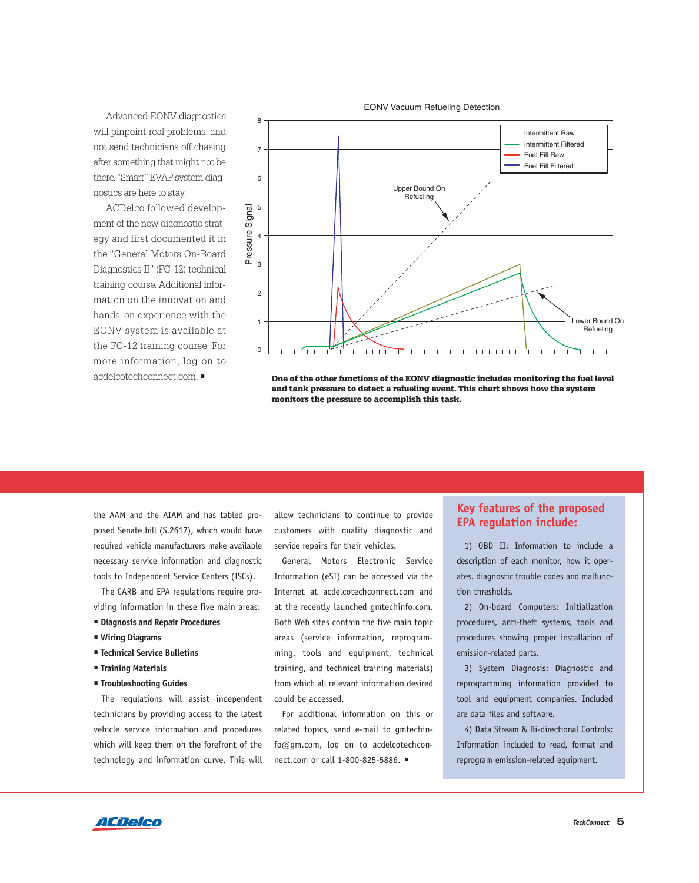Advanced EONV diagnostics will pinpoint real problems, and not send technicians off chasing after something that might not be there. "Smart" EVAP system diagnostics are here to stay.

ACDelco followed development of the new diagnostic strategy and first documented it in the "General Motors On-Board Diagnostics II" (FC-12) technical training course. Additional information on the innovation and hands-on experience with the EONV system is available at the FC-12 training course. For more information, log on to acdelcotechconnect.com. •



**One of the other functions of the EONV diagnostic includes monitoring the fuel level and tank pressure to detect a refueling event. This chart shows how the system monitors the pressure to accomplish this task.**

the AAM and the AIAM and has tabled proposed Senate bill (S.2617), which would have required vehicle manufacturers make available necessary service information and diagnostic tools to Independent Service Centers (ISCs).

The CARB and EPA regulations require providing information in these five main areas:

- **Diagnosis and Repair Procedures**
- **Wiring Diagrams**
- **Technical Service Bulletins**
- **Training Materials**
- **Troubleshooting Guides**

The regulations will assist independent technicians by providing access to the latest vehicle service information and procedures which will keep them on the forefront of the technology and information curve. This will

allow technicians to continue to provide customers with quality diagnostic and service repairs for their vehicles.

General Motors Electronic Service Information (eSI) can be accessed via the Internet at acdelcotechconnect.com and at the recently launched gmtechinfo.com. Both Web sites contain the five main topic areas (service information, reprogramming, tools and equipment, technical training, and technical training materials) from which all relevant information desired could be accessed.

For additional information on this or related topics, send e-mail to gmtechinfo@gm.com, log on to acdelcotechconnect.com or call 1-800-825-5886. •

## **Key features of the proposed EPA regulation include:**

1) OBD II: Information to include a description of each monitor, how it operates, diagnostic trouble codes and malfunction thresholds.

2) On-board Computers: Initialization procedures, anti-theft systems, tools and procedures showing proper installation of emission-related parts.

3) System Diagnosis: Diagnostic and reprogramming information provided to tool and equipment companies. Included are data files and software.

4) Data Stream & Bi-directional Controls: Information included to read, format and reprogram emission-related equipment.

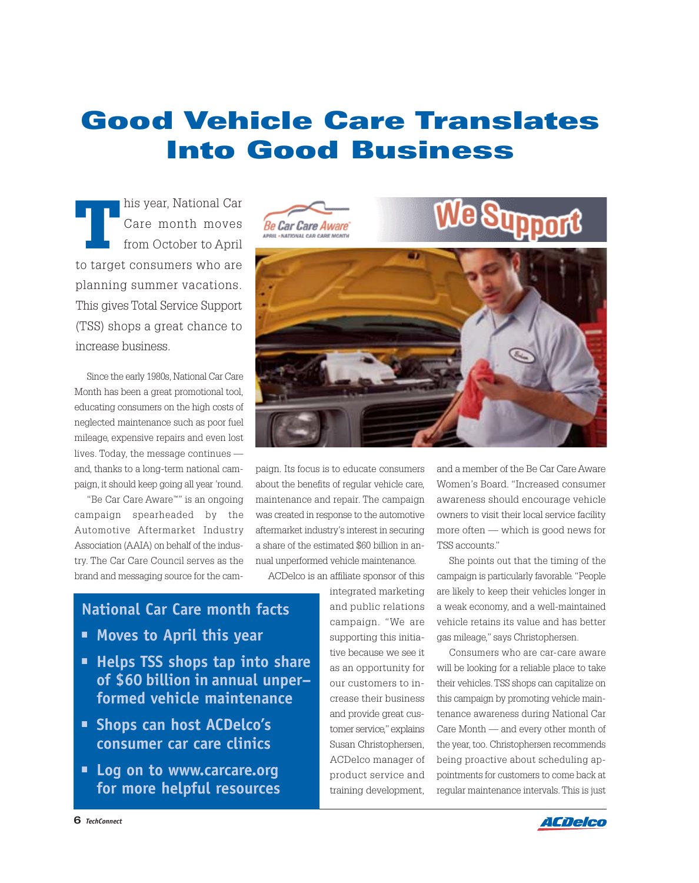# **Good Vehicle Care Translates Into Good Business**

**T**his year, National Car<br>Care month moves<br>from October to April Care month moves from October to April to target consumers who are planning summer vacations. This gives Total Service Support (TSS) shops a great chance to increase business.

Since the early 1980s, National Car Care Month has been a great promotional tool, educating consumers on the high costs of neglected maintenance such as poor fuel mileage, expensive repairs and even lost lives. Today, the message continues and, thanks to a long-term national campaign, it should keep going all year 'round.

"Be Car Care Aware™" is an ongoing campaign spearheaded by the Automotive Aftermarket Industry Association (AAIA) on behalf of the industry. The Car Care Council serves as the brand and messaging source for the cam-







paign. Its focus is to educate consumers about the benefits of regular vehicle care, maintenance and repair. The campaign was created in response to the automotive aftermarket industry's interest in securing a share of the estimated \$60 billion in annual unperformed vehicle maintenance.

ACDelco is an affiliate sponsor of this

integrated marketing and public relations campaign. "We are supporting this initiative because we see it as an opportunity for our customers to increase their business and provide great customer service,"explains Susan Christophersen, ACDelco manager of product service and training development,

and a member of the Be Car Care Aware Women's Board. "Increased consumer awareness should encourage vehicle owners to visit their local service facility more often — which is good news for TSS accounts."

She points out that the timing of the campaign is particularly favorable. "People are likely to keep their vehicles longer in a weak economy, and a well-maintained vehicle retains its value and has better gas mileage," says Christophersen.

Consumers who are car-care aware will be looking for a reliable place to take their vehicles. TSS shops can capitalize on this campaign by promoting vehicle maintenance awareness during National Car Care Month — and every other month of the year, too. Christophersen recommends being proactive about scheduling appointments for customers to come back at regular maintenance intervals. This is just

# **National Car Care month facts**

- **• Moves to April this year**
- **• Helps TSS shops tap into share of \$60 billion in annual unper– formed vehicle maintenance**
- **• Shops can host ACDelco's consumer car care clinics**
- **• Log on to www.carcare.org for more helpful resources**

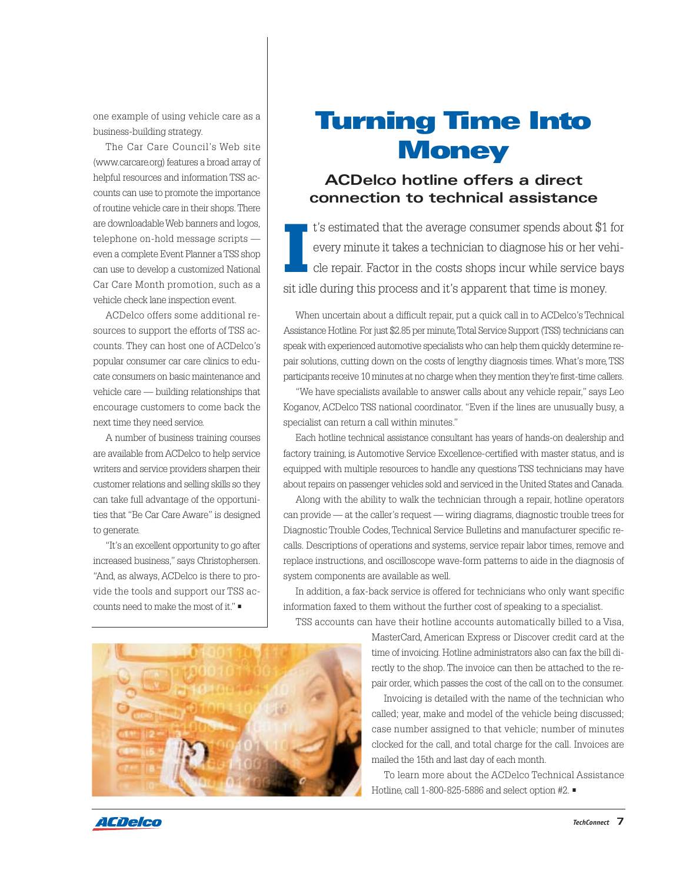one example of using vehicle care as a business-building strategy.

The Car Care Council's Web site (www.carcare.org) features a broad array of helpful resources and information TSS accounts can use to promote the importance of routine vehicle care in their shops. There are downloadable Web banners and logos, telephone on-hold message scripts even a complete Event Planner a TSS shop can use to develop a customized National Car Care Month promotion, such as a vehicle check lane inspection event.

ACDelco offers some additional resources to support the efforts of TSS accounts. They can host one of ACDelco's popular consumer car care clinics to educate consumers on basic maintenance and vehicle care — building relationships that encourage customers to come back the next time they need service.

A number of business training courses are available from ACDelco to help service writers and service providers sharpen their customer relations and selling skills so they can take full advantage of the opportunities that "Be Car Care Aware" is designed to generate.

"It's an excellent opportunity to go after increased business," says Christophersen. "And, as always, ACDelco is there to provide the tools and support our TSS accounts need to make the most of it." •

# **Turning Time Into Money**

# **ACDelco hotline offers a direct connection to technical assistance**

**I** t's estimated that the average consumer spends about \$1 for every minute it takes a technician to diagnose his or her vehicle repair. Factor in the costs shops incur while service bays sit idle during this process and it's apparent that time is money.

When uncertain about a difficult repair, put a quick call in to ACDelco's Technical Assistance Hotline. For just \$2.85 per minute,Total Service Support (TSS) technicians can speak with experienced automotive specialists who can help them quickly determine repair solutions, cutting down on the costs of lengthy diagnosis times. What's more,TSS participants receive 10 minutes at no charge when they mention they're first-time callers.

"We have specialists available to answer calls about any vehicle repair," says Leo Koganov, ACDelco TSS national coordinator. "Even if the lines are unusually busy, a specialist can return a call within minutes."

Each hotline technical assistance consultant has years of hands-on dealership and factory training, is Automotive Service Excellence-certified with master status, and is equipped with multiple resources to handle any questions TSS technicians may have about repairs on passenger vehicles sold and serviced in the United States and Canada.

Along with the ability to walk the technician through a repair, hotline operators can provide — at the caller's request — wiring diagrams, diagnostic trouble trees for Diagnostic Trouble Codes, Technical Service Bulletins and manufacturer specific recalls. Descriptions of operations and systems, service repair labor times, remove and replace instructions, and oscilloscope wave-form patterns to aide in the diagnosis of system components are available as well.

In addition, a fax-back service is offered for technicians who only want specific information faxed to them without the further cost of speaking to a specialist. TSS accounts can have their hotline accounts automatically billed to a Visa,



MasterCard, American Express or Discover credit card at the time of invoicing. Hotline administrators also can fax the bill directly to the shop. The invoice can then be attached to the repair order, which passes the cost of the call on to the consumer.

Invoicing is detailed with the name of the technician who called; year, make and model of the vehicle being discussed; case number assigned to that vehicle; number of minutes clocked for the call, and total charge for the call. Invoices are mailed the 15th and last day of each month.

To learn more about the ACDelco Technical Assistance Hotline, call 1-800-825-5886 and select option #2. •

ACDelco